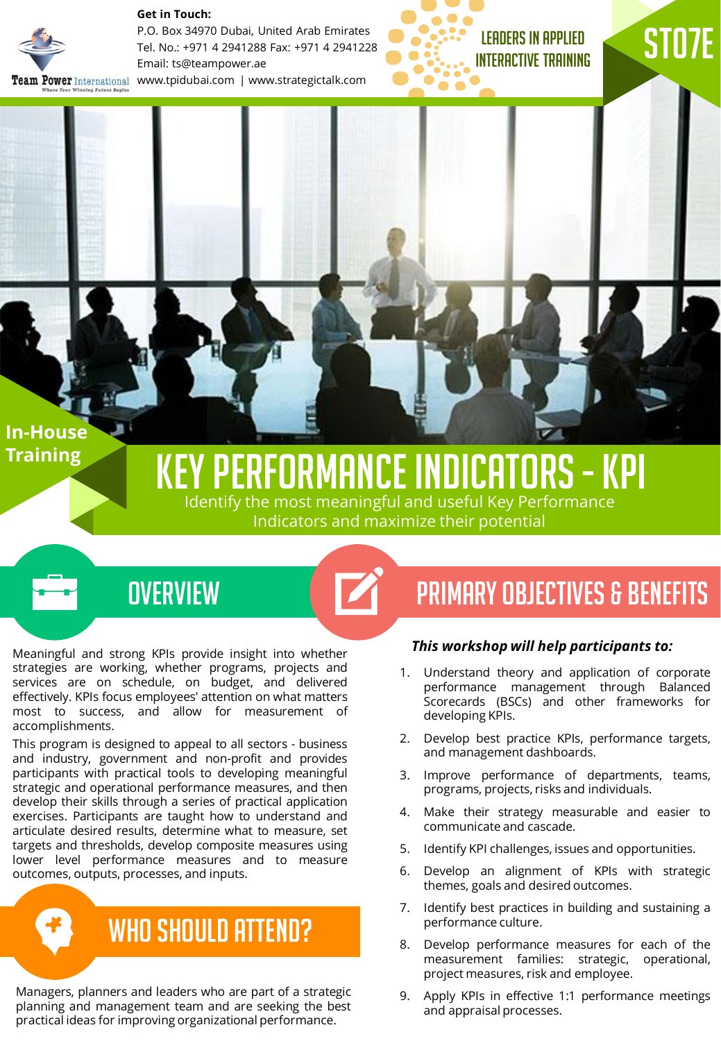

**Get in Touch:** 

P.O. Box 34970 Dubai, United Arab Emirates Tel. No.: +971 4 2941288 Fax: +971 4 2941228 Email: ts@teampower.ae Team Power International www.tpidubai.com | www.strategictalk.com

LEADERS IN APPLIED INTERACTIVE TRAINING ST07E

**In-House Training** 

# Key performance indicators -KPI

Identify the most meaningful and useful Key Performance Indicators and maximize their potential

 $\boldsymbol{\mathcal{V}}$ 

#### **OVERVIEW**

Meaningful and strong KPIs provide insight into whether strategies are working, whether programs, projects and services are on schedule, on budget, and delivered effectively. KPIs focus employees' attention on what matters most to success, and allow for measurement of accomplishments.

This program is designed to appeal to all sectors - business and industry, government and non-profit and provides participants with practical tools to developing meaningful strategic and operational performance measures, and then develop their skills through a series of practical application exercises. Participants are taught how to understand and articulate desired results, determine what to measure, set targets and thresholds, develop composite measures using lower level performance measures and to measure outcomes, outputs, processes, and inputs.

WHO SHOULD ATTEND?

Managers, planners and leaders who are part of a strategic planning and management team and are seeking the best practical ideas for improving organizational performance.

### PRIMARY OBJECTIVES & BENEFITS

#### *This workshop will help participants to:*

- 1. Understand theory and application of corporate performance management through Balanced Scorecards (BSCs) and other frameworks for developing KPIs.
- 2. Develop best practice KPIs, performance targets, and management dashboards.
- 3. Improve performance of departments, teams, programs, projects, risks and individuals.
- 4. Make their strategy measurable and easier to communicate and cascade.
- 5. Identify KPI challenges, issues and opportunities.
- 6. Develop an alignment of KPIs with strategic themes, goals and desired outcomes.
- 7. Identify best practices in building and sustaining a performance culture.
- 8. Develop performance measures for each of the measurement families: strategic, operational, project measures, risk and employee.
- 9. Apply KPIs in effective 1:1 performance meetings and appraisal processes.